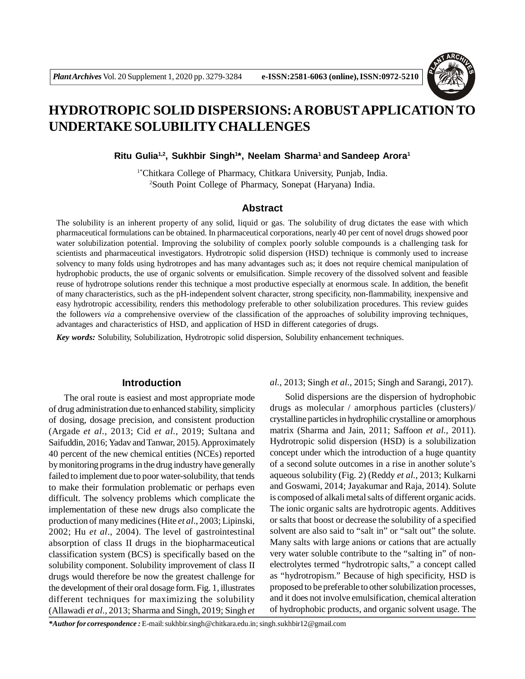

# **HYDROTROPIC SOLID DISPERSIONS: A ROBUSTAPPLICATION TO UNDERTAKE SOLUBILITY CHALLENGES**

**Ritu Gulia1,2, Sukhbir Singh<sup>1</sup> \*, Neelam Sharma<sup>1</sup>and Sandeep Arora<sup>1</sup>**

1\*Chitkara College of Pharmacy, Chitkara University, Punjab, India. <sup>2</sup>South Point College of Pharmacy, Sonepat (Haryana) India.

# **Abstract**

The solubility is an inherent property of any solid, liquid or gas. The solubility of drug dictates the ease with which pharmaceutical formulations can be obtained. In pharmaceutical corporations, nearly 40 per cent of novel drugs showed poor water solubilization potential. Improving the solubility of complex poorly soluble compounds is a challenging task for scientists and pharmaceutical investigators. Hydrotropic solid dispersion (HSD) technique is commonly used to increase solvency to many folds using hydrotropes and has many advantages such as; it does not require chemical manipulation of hydrophobic products, the use of organic solvents or emulsification. Simple recovery of the dissolved solvent and feasible reuse of hydrotrope solutions render this technique a most productive especially at enormous scale. In addition, the benefit of many characteristics, such as the pH-independent solvent character, strong specificity, non-flammability, inexpensive and easy hydrotropic accessibility, renders this methodology preferable to other solubilization procedures. This review guides the followers *via* a comprehensive overview of the classification of the approaches of solubility improving techniques, advantages and characteristics of HSD, and application of HSD in different categories of drugs.

*Key words:* Solubility, Solubilization, Hydrotropic solid dispersion, Solubility enhancement techniques.

#### **Introduction**

The oral route is easiest and most appropriate mode of drug administration due to enhanced stability, simplicity of dosing, dosage precision, and consistent production (Argade *et al.,* 2013; Cid *et al.,* 2019; Sultana and Saifuddin, 2016; Yadav and Tanwar, 2015). Approximately 40 percent of the new chemical entities (NCEs) reported by monitoring programs in the drug industry have generally failed to implement due to poor water-solubility, that tends to make their formulation problematic or perhaps even difficult. The solvency problems which complicate the implementation of these new drugs also complicate the production of many medicines (Hite *et al*., 2003; Lipinski, 2002; Hu *et al*., 2004). The level of gastrointestinal absorption of class II drugs in the biopharmaceutical classification system (BCS) is specifically based on the solubility component. Solubility improvement of class II drugs would therefore be now the greatest challenge for the development of their oral dosage form. Fig. 1, illustrates different techniques for maximizing the solubility (Allawadi *et al.,* 2013; Sharma and Singh, 2019; Singh *et*

*al.,* 2013; Singh *et al.,* 2015; Singh and Sarangi, 2017).

Solid dispersions are the dispersion of hydrophobic drugs as molecular / amorphous particles (clusters)/ crystalline particles in hydrophilic crystalline or amorphous matrix (Sharma and Jain, 2011; Saffoon *et al.,* 2011). Hydrotropic solid dispersion (HSD) is a solubilization concept under which the introduction of a huge quantity of a second solute outcomes in a rise in another solute's aqueous solubility (Fig. 2) (Reddy *et al.,* 2013; Kulkarni and Goswami, 2014; Jayakumar and Raja, 2014). Solute is composed of alkali metal salts of different organic acids. The ionic organic salts are hydrotropic agents. Additives or salts that boost or decrease the solubility of a specified solvent are also said to "salt in" or "salt out" the solute. Many salts with large anions or cations that are actually very water soluble contribute to the "salting in" of nonelectrolytes termed "hydrotropic salts," a concept called as "hydrotropism." Because of high specificity, HSD is proposed to be preferable to other solubilization processes, and it does not involve emulsification, chemical alteration of hydrophobic products, and organic solvent usage. The

*\*Author for correspondence :* E-mail: sukhbir.singh@chitkara.edu.in; singh.sukhbir12@gmail.com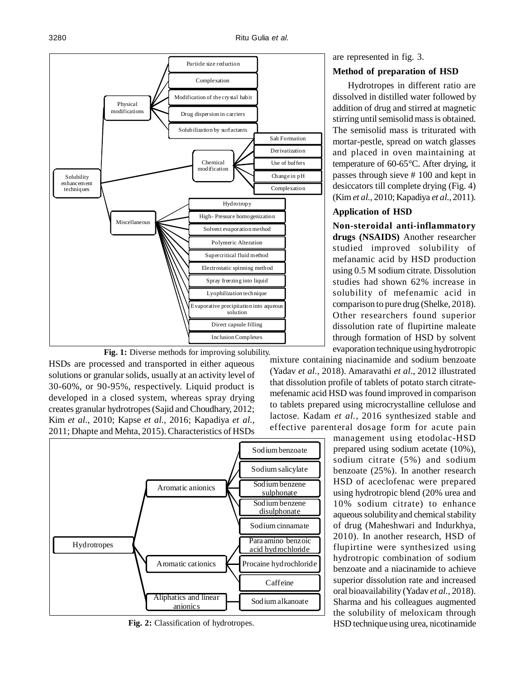



HSDs are processed and transported in either aqueous solutions or granular solids, usually at an activity level of 30-60%, or 90-95%, respectively. Liquid product is developed in a closed system, whereas spray drying creates granular hydrotropes (Sajid and Choudhary, 2012; Kim *et al.,* 2010; Kapse *et al.,* 2016; Kapadiya *et al.,* 2011; Dhapte and Mehta, 2015). Characteristics of HSDs



**Fig. 2:** Classification of hydrotropes.

are represented in fig. 3.

# **Method of preparation of HSD**

Hydrotropes in different ratio are dissolved in distilled water followed by addition of drug and stirred at magnetic stirring until semisolid mass is obtained. The semisolid mass is triturated with mortar-pestle, spread on watch glasses and placed in oven maintaining at temperature of 60-65°C. After drying, it passes through sieve # 100 and kept in desiccators till complete drying (Fig. 4) (Kim *et al.,* 2010; Kapadiya *et al.,* 2011).

# **Application of HSD**

**Non-steroidal anti-inflammatory drugs (NSAIDS)** Another researcher studied improved solubility of mefanamic acid by HSD production using 0.5 M sodium citrate. Dissolution studies had shown 62% increase in solubility of mefenamic acid in comparison to pure drug (Shelke, 2018). Other researchers found superior dissolution rate of flupirtine maleate through formation of HSD by solvent evaporation technique using hydrotropic

mixture containing niacinamide and sodium benzoate (Yadav *et al.,* 2018). Amaravathi *et al*., 2012 illustrated that dissolution profile of tablets of potato starch citratemefenamic acid HSD was found improved in comparison to tablets prepared using microcrystalline cellulose and lactose. Kadam *et al.,* 2016 synthesized stable and effective parenteral dosage form for acute pain

> management using etodolac-HSD prepared using sodium acetate (10%), sodium citrate (5%) and sodium benzoate (25%). In another research HSD of aceclofenac were prepared using hydrotropic blend (20% urea and 10% sodium citrate) to enhance aqueous solubility and chemical stability of drug (Maheshwari and Indurkhya, 2010). In another research, HSD of flupirtine were synthesized using hydrotropic combination of sodium benzoate and a niacinamide to achieve superior dissolution rate and increased oral bioavailability (Yadav *et al.,* 2018). Sharma and his colleagues augmented the solubility of meloxicam through HSD technique using urea, nicotinamide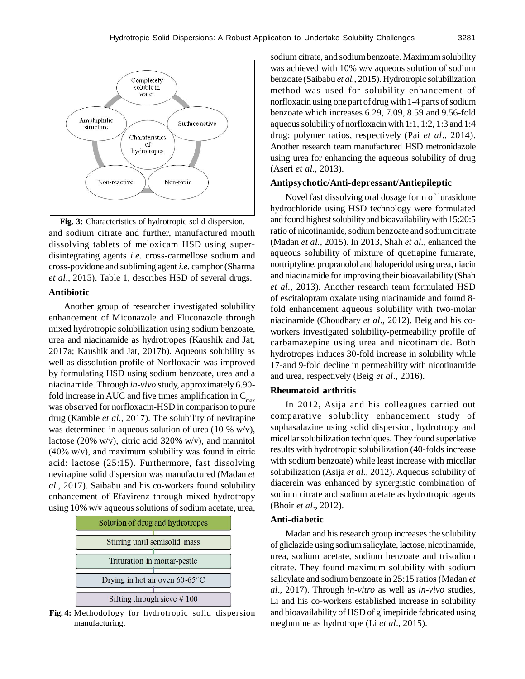

and sodium citrate and further, manufactured mouth dissolving tablets of meloxicam HSD using superdisintegrating agents *i.e.* cross-carmellose sodium and cross-povidone and subliming agent *i.e.* camphor (Sharma *et al*., 2015). Table 1, describes HSD of several drugs. **Fig. 3:** Characteristics of hydrotropic solid dispersion.

## **Antibiotic**

Another group of researcher investigated solubility enhancement of Miconazole and Fluconazole through mixed hydrotropic solubilization using sodium benzoate, urea and niacinamide as hydrotropes (Kaushik and Jat, 2017a; Kaushik and Jat, 2017b). Aqueous solubility as well as dissolution profile of Norfloxacin was improved by formulating HSD using sodium benzoate, urea and a niacinamide. Through *in-vivo* study, approximately 6.90 fold increase in AUC and five times amplification in  $C_{\text{max}}$ was observed for norfloxacin-HSD in comparison to pure drug (Kamble *et al.,* 2017). The solubility of nevirapine was determined in aqueous solution of urea (10  $\%$  w/v), lactose (20% w/v), citric acid 320% w/v), and mannitol (40% w/v), and maximum solubility was found in citric acid: lactose (25:15). Furthermore, fast dissolving nevirapine solid dispersion was manufactured (Madan *et al.,* 2017). Saibabu and his co-workers found solubility enhancement of Efavirenz through mixed hydrotropy using 10% w/v aqueous solutions of sodium acetate, urea,



**Fig. 4:** Methodology for hydrotropic solid dispersion manufacturing.

sodium citrate, and sodium benzoate. Maximum solubility was achieved with 10% w/v aqueous solution of sodium benzoate (Saibabu *et al.,* 2015). Hydrotropic solubilization method was used for solubility enhancement of norfloxacin using one part of drug with 1-4 parts of sodium benzoate which increases 6.29, 7.09, 8.59 and 9.56-fold aqueous solubility of norfloxacin with 1:1, 1:2, 1:3 and 1:4 drug: polymer ratios, respectively (Pai *et al*., 2014). Another research team manufactured HSD metronidazole using urea for enhancing the aqueous solubility of drug (Aseri *et al*., 2013).

## **Antipsychotic/Anti-depressant/Antiepileptic**

Novel fast dissolving oral dosage form of lurasidone hydrochloride using HSD technology were formulated and found highest solubility and bioavailability with 15:20:5 ratio of nicotinamide, sodium benzoate and sodium citrate (Madan *et al.,* 2015). In 2013, Shah *et al.,* enhanced the aqueous solubility of mixture of quetiapine fumarate, nortriptyline, propranolol and haloperidol using urea, niacin and niacinamide for improving their bioavailability (Shah *et al.,* 2013). Another research team formulated HSD of escitalopram oxalate using niacinamide and found 8 fold enhancement aqueous solubility with two-molar niacinamide (Choudhary *et al*., 2012). Beig and his coworkers investigated solubility-permeability profile of carbamazepine using urea and nicotinamide. Both hydrotropes induces 30-fold increase in solubility while 17-and 9-fold decline in permeability with nicotinamide and urea, respectively (Beig *et al*., 2016).

## **Rheumatoid arthritis**

In 2012, Asija and his colleagues carried out comparative solubility enhancement study of suphasalazine using solid dispersion, hydrotropy and micellar solubilization techniques. They found superlative results with hydrotropic solubilization (40-folds increase with sodium benzoate) while least increase with micellar solubilization (Asija *et al.,* 2012). Aqueous solubility of diacerein was enhanced by synergistic combination of sodium citrate and sodium acetate as hydrotropic agents (Bhoir *et al*., 2012).

#### **Anti-diabetic**

Madan and his research group increases the solubility of gliclazide using sodium salicylate, lactose, nicotinamide, urea, sodium acetate, sodium benzoate and trisodium citrate. They found maximum solubility with sodium salicylate and sodium benzoate in 25:15 ratios (Madan *et al*., 2017). Through *in-vitro* as well as *in-vivo* studies, Li and his co-workers established increase in solubility and bioavailability of HSD of glimepiride fabricated using meglumine as hydrotrope (Li *et al*., 2015).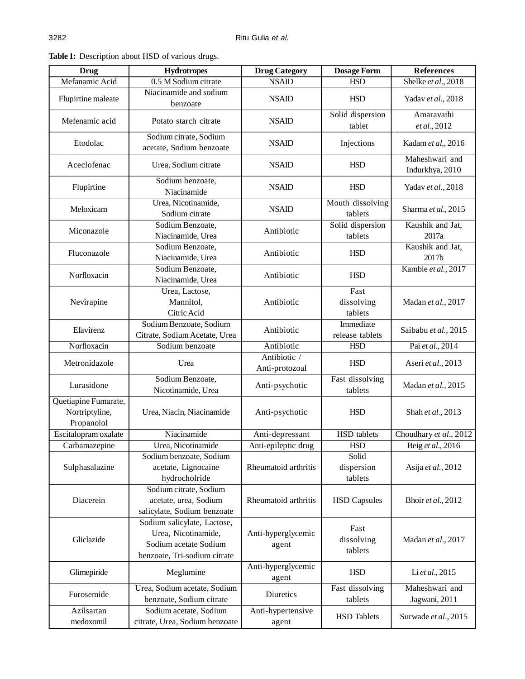| <b>Drug</b>                                          | <b>Hydrotropes</b>                                                                                          | <b>Drug Category</b>           | <b>Dosage Form</b>             | <b>References</b>                 |
|------------------------------------------------------|-------------------------------------------------------------------------------------------------------------|--------------------------------|--------------------------------|-----------------------------------|
| Mefanamic Acid                                       | 0.5 M Sodium citrate                                                                                        | <b>NSAID</b>                   | <b>HSD</b>                     | Shelke et al., 2018               |
| Flupirtine maleate                                   | Niacinamide and sodium<br>benzoate                                                                          | <b>NSAID</b>                   | <b>HSD</b>                     | Yadav et al., 2018                |
| Mefenamic acid                                       | Potato starch citrate                                                                                       | <b>NSAID</b>                   | Solid dispersion<br>tablet     | Amaravathi<br>et al., 2012        |
| Etodolac                                             | Sodium citrate, Sodium<br>acetate, Sodium benzoate                                                          | <b>NSAID</b>                   | Injections                     | Kadam et al., 2016                |
| Aceclofenac                                          | Urea, Sodium citrate                                                                                        | <b>NSAID</b>                   | <b>HSD</b>                     | Maheshwari and<br>Indurkhya, 2010 |
| Flupirtine                                           | Sodium benzoate,<br>Niacinamide                                                                             | <b>NSAID</b>                   | <b>HSD</b>                     | Yadav et al., 2018                |
| Meloxicam                                            | Urea, Nicotinamide,<br>Sodium citrate                                                                       | <b>NSAID</b>                   | Mouth dissolving<br>tablets    | Sharma et al., 2015               |
| Miconazole                                           | Sodium Benzoate,<br>Niacinamide, Urea                                                                       | Antibiotic                     | Solid dispersion<br>tablets    | Kaushik and Jat,<br>2017a         |
| Fluconazole                                          | Sodium Benzoate,<br>Niacinamide, Urea                                                                       | Antibiotic                     | <b>HSD</b>                     | Kaushik and Jat,<br>2017b         |
| Norfloxacin                                          | Sodium Benzoate,<br>Niacinamide, Urea                                                                       | Antibiotic                     | <b>HSD</b>                     | Kamble et al., 2017               |
| Nevirapine                                           | Urea, Lactose,<br>Mannitol,<br>Citric Acid                                                                  | Antibiotic                     | Fast<br>dissolving<br>tablets  | Madan et al., 2017                |
| Efavirenz                                            | Sodium Benzoate, Sodium<br>Citrate, Sodium Acetate, Urea                                                    | Antibiotic                     | Immediate<br>release tablets   | Saibabu et al., 2015              |
| Norfloxacin                                          | Sodium benzoate                                                                                             | Antibiotic                     | <b>HSD</b>                     | Pai et al., 2014                  |
| Metronidazole                                        | Urea                                                                                                        | Antibiotic /<br>Anti-protozoal | <b>HSD</b>                     | Aseri et al., 2013                |
| Lurasidone                                           | Sodium Benzoate,<br>Nicotinamide, Urea                                                                      | Anti-psychotic                 | Fast dissolving<br>tablets     | Madan et al., 2015                |
| Quetiapine Fumarate,<br>Nortriptyline,<br>Propanolol | Urea, Niacin, Niacinamide                                                                                   | Anti-psychotic                 | <b>HSD</b>                     | Shah et al., 2013                 |
| Escitalopram oxalate                                 | Niacinamide                                                                                                 | Anti-depressant                | <b>HSD</b> tablets             | Choudhary et al., 2012            |
| Carbamazepine                                        | Urea, Nicotinamide                                                                                          | Anti-epileptic drug            | <b>HSD</b>                     | Beig et al., 2016                 |
| Sulphasalazine                                       | Sodium benzoate, Sodium<br>acetate, Lignocaine<br>hydrocholride                                             | Rheumatoid arthritis           | Solid<br>dispersion<br>tablets | Asija et al., 2012                |
| Diacerein                                            | Sodium citrate, Sodium<br>acetate, urea, Sodium<br>salicylate, Sodium benzoate                              | Rheumatoid arthritis           | <b>HSD Capsules</b>            | Bhoir et al., 2012                |
| Gliclazide                                           | Sodium salicylate, Lactose,<br>Urea, Nicotinamide,<br>Sodium acetate Sodium<br>benzoate, Tri-sodium citrate | Anti-hyperglycemic<br>agent    | Fast<br>dissolving<br>tablets  | Madan et al., 2017                |
| Glimepiride                                          | Meglumine                                                                                                   | Anti-hyperglycemic<br>agent    | <b>HSD</b>                     | Li et al., 2015                   |
| Furosemide                                           | Urea, Sodium acetate, Sodium<br>benzoate, Sodium citrate                                                    | Diuretics                      | Fast dissolving<br>tablets     | Maheshwari and<br>Jagwani, 2011   |
| Azilsartan<br>medoxomil                              | Sodium acetate, Sodium<br>citrate, Urea, Sodium benzoate                                                    | Anti-hypertensive<br>agent     | <b>HSD</b> Tablets             | Surwade et al., 2015              |

**Table 1:** Description about HSD of various drugs.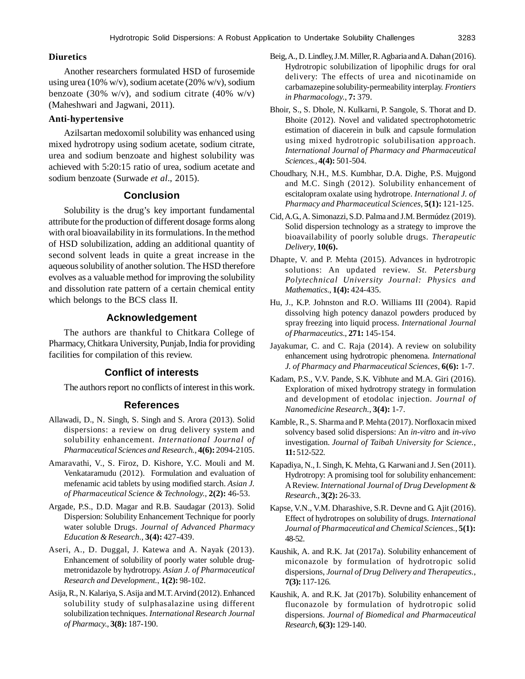# **Diuretics**

Another researchers formulated HSD of furosemide using urea (10% w/v), sodium acetate (20% w/v), sodium benzoate (30% w/v), and sodium citrate (40% w/v) (Maheshwari and Jagwani, 2011).

#### **Anti-hypertensive**

Azilsartan medoxomil solubility was enhanced using mixed hydrotropy using sodium acetate, sodium citrate, urea and sodium benzoate and highest solubility was achieved with 5:20:15 ratio of urea, sodium acetate and sodium benzoate (Surwade *et al*., 2015).

# **Conclusion**

Solubility is the drug's key important fundamental attribute for the production of different dosage forms along with oral bioavailability in its formulations. In the method of HSD solubilization, adding an additional quantity of second solvent leads in quite a great increase in the aqueous solubility of another solution. The HSD therefore evolves as a valuable method for improving the solubility and dissolution rate pattern of a certain chemical entity which belongs to the BCS class II.

# **Acknowledgement**

The authors are thankful to Chitkara College of Pharmacy, Chitkara University, Punjab, India for providing facilities for compilation of this review.

# **Conflict of interests**

The authors report no conflicts of interest in this work.

# **References**

- Allawadi, D., N. Singh, S. Singh and S. Arora (2013). Solid dispersions: a review on drug delivery system and solubility enhancement. *International Journal of Pharmaceutical Sciences and Research.*, **4(6):** 2094-2105.
- Amaravathi, V., S. Firoz, D. Kishore, Y.C. Mouli and M. Venkataramudu (2012). Formulation and evaluation of mefenamic acid tablets by using modified starch. *Asian J. of Pharmaceutical Science & Technology.*, **2(2):** 46-53.
- Argade, P.S., D.D. Magar and R.B. Saudagar (2013). Solid Dispersion: Solubility Enhancement Technique for poorly water soluble Drugs. *Journal of Advanced Pharmacy Education & Research.*, **3(4):** 427-439.
- Aseri, A., D. Duggal, J. Katewa and A. Nayak (2013). Enhancement of solubility of poorly water soluble drugmetronidazole by hydrotropy. *Asian J. of Pharmaceutical Research and Development.*, **1(2):** 98-102.
- Asija, R., N. Kalariya, S. Asija and M.T. Arvind (2012). Enhanced solubility study of sulphasalazine using different solubilization techniques. *International Research Journal of Pharmacy.*, **3(8):** 187-190.
- Beig, A., D. Lindley, J.M. Miller, R. Agbaria and A. Dahan (2016). Hydrotropic solubilization of lipophilic drugs for oral delivery: The effects of urea and nicotinamide on carbamazepine solubility-permeability interplay. *Frontiers in Pharmacology.*, **7:** 379.
- Bhoir, S., S. Dhole, N. Kulkarni, P. Sangole, S. Thorat and D. Bhoite (2012). Novel and validated spectrophotometric estimation of diacerein in bulk and capsule formulation using mixed hydrotropic solubilisation approach. *International Journal of Pharmacy and Pharmaceutical Sciences.,* **4(4):** 501-504.
- Choudhary, N.H., M.S. Kumbhar, D.A. Dighe, P.S. Mujgond and M.C. Singh (2012). Solubility enhancement of escitalopram oxalate using hydrotrope. *International J. of Pharmacy and Pharmaceutical Sciences*, **5(1):** 121-125.
- Cid, A.G., A. Simonazzi, S.D. Palma and J.M. Bermúdez (2019). Solid dispersion technology as a strategy to improve the bioavailability of poorly soluble drugs. *Therapeutic Delivery*, **10(6).**
- Dhapte, V. and P. Mehta (2015). Advances in hydrotropic solutions: An updated review. *St. Petersburg Polytechnical University Journal: Physics and Mathematics.*, **1(4):** 424-435.
- Hu, J., K.P. Johnston and R.O. Williams III (2004). Rapid dissolving high potency danazol powders produced by spray freezing into liquid process. *International Journal of Pharmaceutics.,* **271:** 145-154.
- Jayakumar, C. and C. Raja (2014). A review on solubility enhancement using hydrotropic phenomena. *International J. of Pharmacy and Pharmaceutical Sciences*, **6(6):** 1-7.
- Kadam, P.S., V.V. Pande, S.K. Vibhute and M.A. Giri (2016). Exploration of mixed hydrotropy strategy in formulation and development of etodolac injection. *Journal of Nanomedicine Research.*, **3(4):** 1-7.
- Kamble, R., S. Sharma and P. Mehta (2017). Norfloxacin mixed solvency based solid dispersions: An *in-vitro* and *in-vivo* investigation. *Journal of Taibah University for Science.*, **11:** 512-522.
- Kapadiya, N., I. Singh, K. Mehta, G. Karwani and J. Sen (2011). Hydrotropy: A promising tool for solubility enhancement: A Review. *International Journal of Drug Development & Research.*, **3(2):** 26-33.
- Kapse, V.N., V.M. Dharashive, S.R. Devne and G. Ajit (2016). Effect of hydrotropes on solubility of drugs. *International Journal of Pharmaceutical and Chemical Sciences.*, **5(1):** 48-52.
- Kaushik, A. and R.K. Jat (2017a). Solubility enhancement of miconazole by formulation of hydrotropic solid dispersions, *Journal of Drug Delivery and Therapeutics.*, **7(3):** 117-126.
- Kaushik, A. and R.K. Jat (2017b). Solubility enhancement of fluconazole by formulation of hydrotropic solid dispersions. *Journal of Biomedical and Pharmaceutical Research*, **6(3):** 129-140.